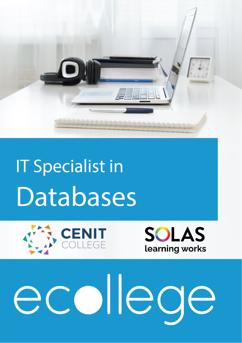

# **IT Specialist in** Databases





#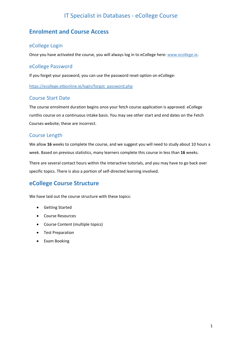### **Enrolment and Course Access**

### eCollege Login

Once you have activated the course, you will always log in to eCollege here: www.ecollege.ie.

### eCollege Password

If you forget your password, you can use the password reset option on eCollege:

https://ecollege.etbonline.ie/login/forgot\_password.php

### Course Start Date

The course enrolment duration begins once your fetch course application is approved. eCollege runthis course on a continuous intake basis. You may see other start and end dates on the Fetch Courses website; these are incorrect.

### Course Length

We allow **16** weeks to complete the course, and we suggest you will need to study about 10 hours a week. Based on previous statistics, many learners complete this course in less than **16** weeks.

There are several contact hours within the interactive tutorials, and you may have to go back over specific topics. There is also a portion of self‐directed learning involved.

### **eCollege Course Structure**

We have laid out the course structure with these topics:

- Getting Started
- Course Resources
- Course Content (multiple topics)
- Test Preparation
- Exam Booking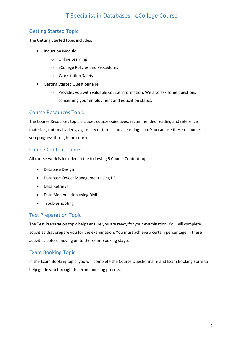### Getting Started Topic

The Getting Started topic includes:

- Induction Module
	- o Online Learning
	- o eCollege Policies and Procedures
	- o Workstation Safety
- Getting Started Questionnaire
	- o Provides you with valuable course information. We also ask some questions concerning your employment and education status.

### Course Resources Topic

The Course Resources topic includes course objectives, recommended reading and reference materials, optional videos, a glossary of terms and a learning plan. You can use these resources as you progress through the course.

### Course Content Topics

All course work is included in the following **5** Course Content topics:

- Database Design
- Database Object Management using DDL
- Data Retrieval
- Data Manipulation using DML
- Troubleshooting

### Test Preparation Topic

The Test Preparation topic helps ensure you are ready for your examination. You will complete activities that prepare you for the examination. You must achieve a certain percentage in these activities before moving on to the Exam Booking stage.

### Exam Booking Topic

In the Exam Booking topic, you will complete the Course Questionnaire and Exam Booking Form to help guide you through the exam booking process.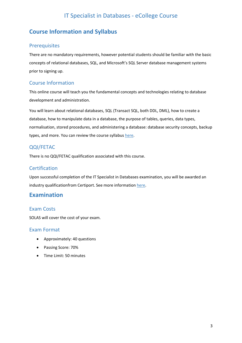### **Course Information and Syllabus**

### Prerequisites

There are no mandatory requirements, however potential students should be familiar with the basic concepts of relational databases, SQL, and Microsoft's SQL Server database management systems prior to signing up.

### Course Information

This online course will teach you the fundamental concepts and technologies relating to database development and administration.

You will learn about relational databases, SQL (Transact SQL, both DDL, DML), how to create a database, how to manipulate data in a database, the purpose of tables, queries, data types, normalisation, stored procedures, and administering a database: database security concepts, backup types, and more. You can review the course syllabus here.

### QQI/FETAC

There is no QQI/FETAC qualification associated with this course.

### **Certification**

Upon successful completion of the IT Specialist in Databases examination, you will be awarded an industry qualificationfrom Certiport. See more information here.

### **Examination**

### Exam Costs

SOLAS will cover the cost of your exam.

### Exam Format

- Approximately: 40 questions
- Passing Score: 70%
- Time Limit: 50 minutes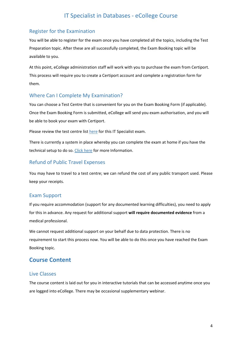### Register for the Examination

You will be able to register for the exam once you have completed all the topics, including the Test Preparation topic. After these are all successfully completed, the Exam Booking topic will be available to you.

At this point, eCollege administration staff will work with you to purchase the exam from Certiport. This process will require you to create a Certiport account and complete a registration form for them.

### Where Can I Complete My Examination?

You can choose a Test Centre that is convenient for you on the Exam Booking Form (if applicable). Once the Exam Booking Form is submitted, eCollege will send you exam authorisation, and you will be able to book your exam with Certiport.

Please review the test centre list here for this IT Specialist exam.

There is currently a system in place whereby you can complete the exam at home if you have the technical setup to do so. Click here for more Information.

### Refund of Public Travel Expenses

You may have to travel to a test centre; we can refund the cost of any public transport used. Please keep your receipts.

### Exam Support

If you require accommodation (support for any documented learning difficulties), you need to apply for this in advance. Any request for additional support **will require documented evidence** from a medical professional.

We cannot request additional support on your behalf due to data protection. There is no requirement to start this process now. You will be able to do this once you have reached the Exam Booking topic.

### **Course Content**

### Live Classes

The course content is laid out for you in interactive tutorials that can be accessed anytime once you are logged into eCollege. There may be occasional supplementary webinar.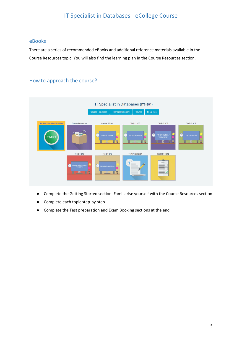### eBooks

There are a series of recommended eBooks and additional reference materials available in the Course Resources topic. You will also find the learning plan in the Course Resources section.

### How to approach the course?



- Complete the Getting Started section. Familiarise yourself with the Course Resources section
- Complete each topic step-by-step
- Complete the Test preparation and Exam Booking sections at the end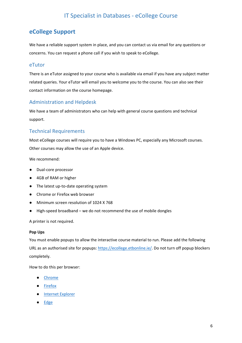### **eCollege Support**

We have a reliable support system in place, and you can contact us via email for any questions or concerns. You can request a phone call if you wish to speak to eCollege.

### eTutor

There is an eTutor assigned to your course who is available via email if you have any subject matter related queries. Your eTutor will email you to welcome you to the course. You can also see their contact information on the course homepage.

### Administration and Helpdesk

We have a team of administrators who can help with general course questions and technical support.

### Technical Requirements

Most eCollege courses will require you to have a Windows PC, especially any Microsoft courses. Other courses may allow the use of an Apple device.

We recommend:

- Dual-core processor
- 4GB of RAM or higher
- The latest up-to-date operating system
- Chrome or Firefox web browser
- Minimum screen resolution of 1024 X 768
- High-speed broadband we do not recommend the use of mobile dongles

A printer is not required.

### **Pop Ups**

You must enable popups to allow the interactive course material to run. Please add the following URL as an authorised site for popups: https://ecollege.etbonline.ie/. Do not turn off popup blockers completely.

How to do this per browser:

- Chrome
- Firefox
- Internet Explorer
- **Edge**